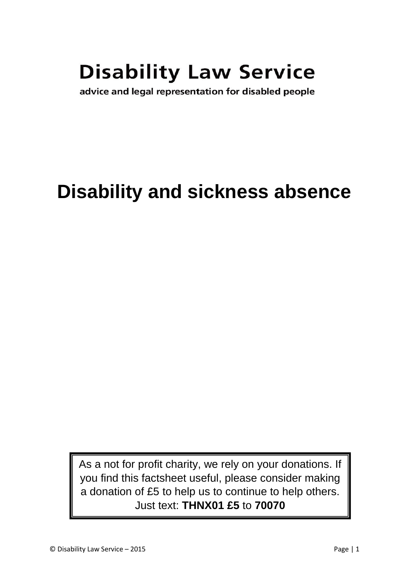# **Disability Law Service**

advice and legal representation for disabled people

## **Disability and sickness absence**

As a not for profit charity, we rely on your donations. If you find this factsheet useful, please consider making a donation of £5 to help us to continue to help others. Just text: **THNX01 £5** to **70070**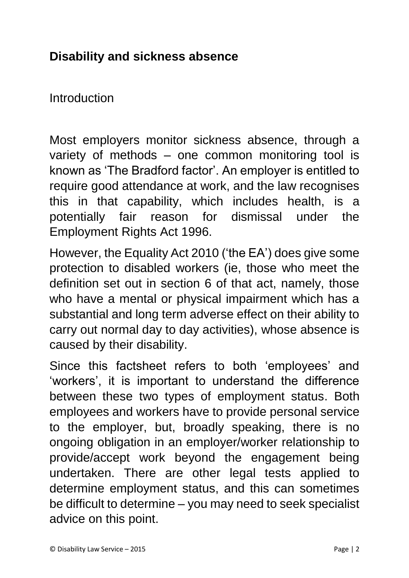### **Disability and sickness absence**

Introduction

Most employers monitor sickness absence, through a variety of methods – one common monitoring tool is known as 'The Bradford factor'. An employer is entitled to require good attendance at work, and the law recognises this in that capability, which includes health, is a potentially fair reason for dismissal under the Employment Rights Act 1996.

However, the Equality Act 2010 ('the EA') does give some protection to disabled workers (ie, those who meet the definition set out in section 6 of that act, namely, those who have a mental or physical impairment which has a substantial and long term adverse effect on their ability to carry out normal day to day activities), whose absence is caused by their disability.

Since this factsheet refers to both 'employees' and 'workers', it is important to understand the difference between these two types of employment status. Both employees and workers have to provide personal service to the employer, but, broadly speaking, there is no ongoing obligation in an employer/worker relationship to provide/accept work beyond the engagement being undertaken. There are other legal tests applied to determine employment status, and this can sometimes be difficult to determine – you may need to seek specialist advice on this point.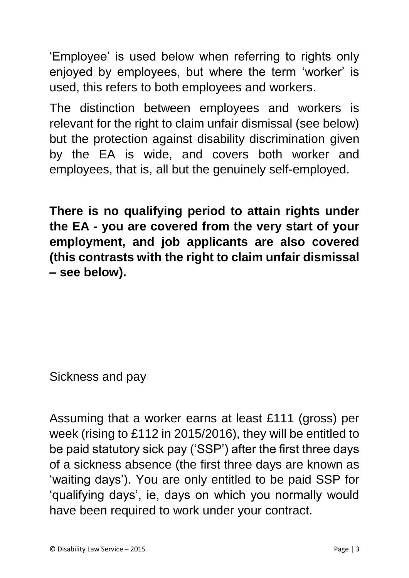'Employee' is used below when referring to rights only enjoyed by employees, but where the term 'worker' is used, this refers to both employees and workers.

The distinction between employees and workers is relevant for the right to claim unfair dismissal (see below) but the protection against disability discrimination given by the EA is wide, and covers both worker and employees, that is, all but the genuinely self-employed.

**There is no qualifying period to attain rights under the EA - you are covered from the very start of your employment, and job applicants are also covered (this contrasts with the right to claim unfair dismissal – see below).**

Sickness and pay

Assuming that a worker earns at least £111 (gross) per week (rising to £112 in 2015/2016), they will be entitled to be paid statutory sick pay ('SSP') after the first three days of a sickness absence (the first three days are known as 'waiting days'). You are only entitled to be paid SSP for 'qualifying days', ie, days on which you normally would have been required to work under your contract.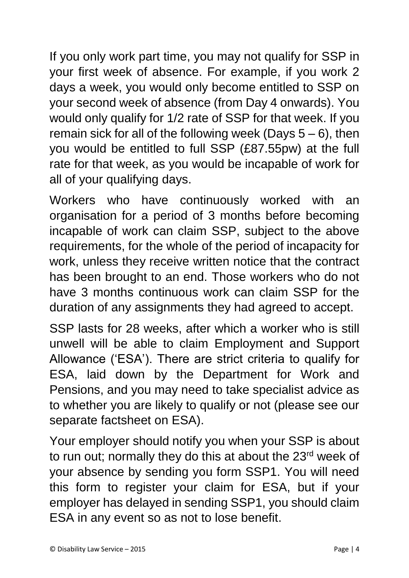If you only work part time, you may not qualify for SSP in your first week of absence. For example, if you work 2 days a week, you would only become entitled to SSP on your second week of absence (from Day 4 onwards). You would only qualify for 1/2 rate of SSP for that week. If you remain sick for all of the following week (Days  $5-6$ ), then you would be entitled to full SSP (£87.55pw) at the full rate for that week, as you would be incapable of work for all of your qualifying days.

Workers who have continuously worked with an organisation for a period of 3 months before becoming incapable of work can claim SSP, subject to the above requirements, for the whole of the period of incapacity for work, unless they receive written notice that the contract has been brought to an end. Those workers who do not have 3 months continuous work can claim SSP for the duration of any assignments they had agreed to accept.

SSP lasts for 28 weeks, after which a worker who is still unwell will be able to claim Employment and Support Allowance ('ESA'). There are strict criteria to qualify for ESA, laid down by the Department for Work and Pensions, and you may need to take specialist advice as to whether you are likely to qualify or not (please see our separate factsheet on ESA).

Your employer should notify you when your SSP is about to run out; normally they do this at about the 23<sup>rd</sup> week of your absence by sending you form SSP1. You will need this form to register your claim for ESA, but if your employer has delayed in sending SSP1, you should claim ESA in any event so as not to lose benefit.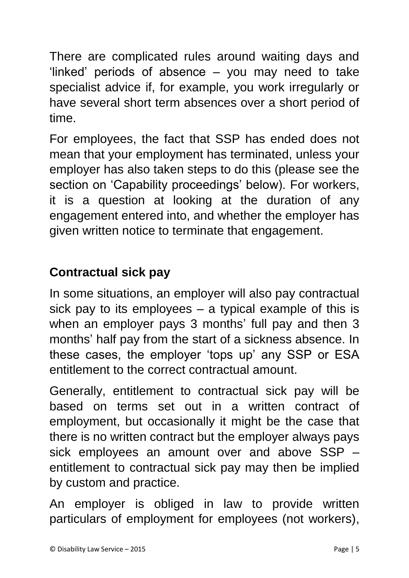There are complicated rules around waiting days and 'linked' periods of absence – you may need to take specialist advice if, for example, you work irregularly or have several short term absences over a short period of time.

For employees, the fact that SSP has ended does not mean that your employment has terminated, unless your employer has also taken steps to do this (please see the section on 'Capability proceedings' below). For workers, it is a question at looking at the duration of any engagement entered into, and whether the employer has given written notice to terminate that engagement.

## **Contractual sick pay**

In some situations, an employer will also pay contractual sick pay to its employees – a typical example of this is when an employer pays 3 months' full pay and then 3 months' half pay from the start of a sickness absence. In these cases, the employer 'tops up' any SSP or ESA entitlement to the correct contractual amount.

Generally, entitlement to contractual sick pay will be based on terms set out in a written contract of employment, but occasionally it might be the case that there is no written contract but the employer always pays sick employees an amount over and above SSP – entitlement to contractual sick pay may then be implied by custom and practice.

An employer is obliged in law to provide written particulars of employment for employees (not workers),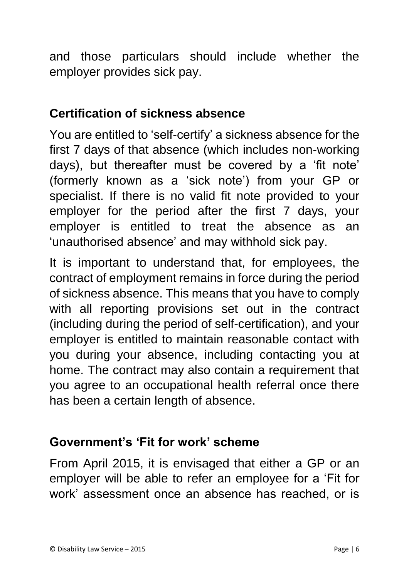and those particulars should include whether the employer provides sick pay.

### **Certification of sickness absence**

You are entitled to 'self-certify' a sickness absence for the first 7 days of that absence (which includes non-working days), but thereafter must be covered by a 'fit note' (formerly known as a 'sick note') from your GP or specialist. If there is no valid fit note provided to your employer for the period after the first 7 days, your employer is entitled to treat the absence as an 'unauthorised absence' and may withhold sick pay.

It is important to understand that, for employees, the contract of employment remains in force during the period of sickness absence. This means that you have to comply with all reporting provisions set out in the contract (including during the period of self-certification), and your employer is entitled to maintain reasonable contact with you during your absence, including contacting you at home. The contract may also contain a requirement that you agree to an occupational health referral once there has been a certain length of absence.

#### **Government's 'Fit for work' scheme**

From April 2015, it is envisaged that either a GP or an employer will be able to refer an employee for a 'Fit for work' assessment once an absence has reached, or is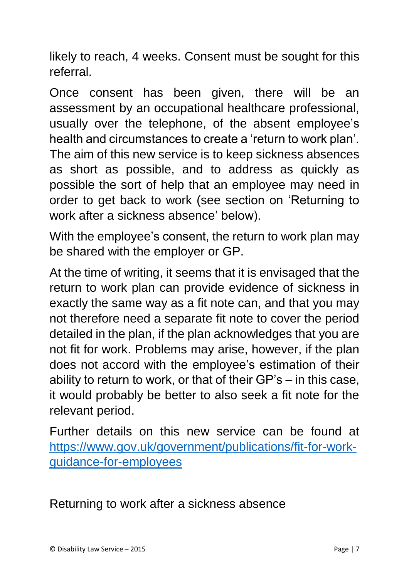likely to reach, 4 weeks. Consent must be sought for this referral.

Once consent has been given, there will be an assessment by an occupational healthcare professional, usually over the telephone, of the absent employee's health and circumstances to create a 'return to work plan'. The aim of this new service is to keep sickness absences as short as possible, and to address as quickly as possible the sort of help that an employee may need in order to get back to work (see section on 'Returning to work after a sickness absence' below).

With the employee's consent, the return to work plan may be shared with the employer or GP.

At the time of writing, it seems that it is envisaged that the return to work plan can provide evidence of sickness in exactly the same way as a fit note can, and that you may not therefore need a separate fit note to cover the period detailed in the plan, if the plan acknowledges that you are not fit for work. Problems may arise, however, if the plan does not accord with the employee's estimation of their ability to return to work, or that of their GP's – in this case, it would probably be better to also seek a fit note for the relevant period.

Further details on this new service can be found at [https://www.gov.uk/government/publications/fit-for-work](https://www.gov.uk/government/publications/fit-for-work-guidance-for-employees)[guidance-for-employees](https://www.gov.uk/government/publications/fit-for-work-guidance-for-employees)

Returning to work after a sickness absence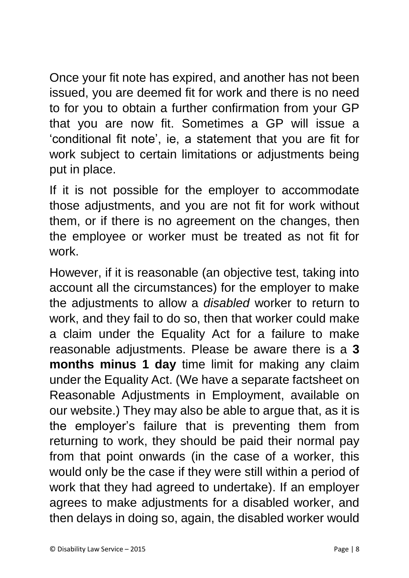Once your fit note has expired, and another has not been issued, you are deemed fit for work and there is no need to for you to obtain a further confirmation from your GP that you are now fit. Sometimes a GP will issue a 'conditional fit note', ie, a statement that you are fit for work subject to certain limitations or adjustments being put in place.

If it is not possible for the employer to accommodate those adjustments, and you are not fit for work without them, or if there is no agreement on the changes, then the employee or worker must be treated as not fit for work.

However, if it is reasonable (an objective test, taking into account all the circumstances) for the employer to make the adjustments to allow a *disabled* worker to return to work, and they fail to do so, then that worker could make a claim under the Equality Act for a failure to make reasonable adjustments. Please be aware there is a **3 months minus 1 day** time limit for making any claim under the Equality Act. (We have a separate factsheet on Reasonable Adjustments in Employment, available on our website.) They may also be able to argue that, as it is the employer's failure that is preventing them from returning to work, they should be paid their normal pay from that point onwards (in the case of a worker, this would only be the case if they were still within a period of work that they had agreed to undertake). If an employer agrees to make adjustments for a disabled worker, and then delays in doing so, again, the disabled worker would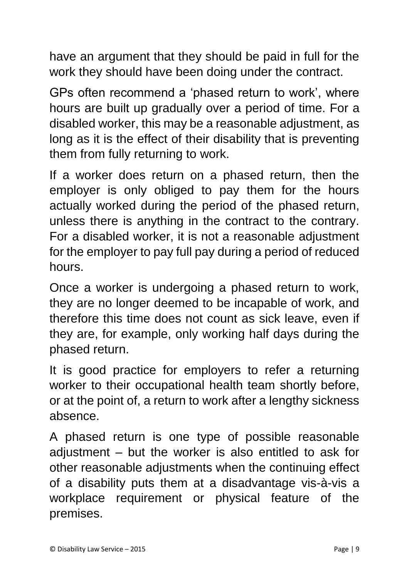have an argument that they should be paid in full for the work they should have been doing under the contract.

GPs often recommend a 'phased return to work', where hours are built up gradually over a period of time. For a disabled worker, this may be a reasonable adjustment, as long as it is the effect of their disability that is preventing them from fully returning to work.

If a worker does return on a phased return, then the employer is only obliged to pay them for the hours actually worked during the period of the phased return, unless there is anything in the contract to the contrary. For a disabled worker, it is not a reasonable adjustment for the employer to pay full pay during a period of reduced hours.

Once a worker is undergoing a phased return to work, they are no longer deemed to be incapable of work, and therefore this time does not count as sick leave, even if they are, for example, only working half days during the phased return.

It is good practice for employers to refer a returning worker to their occupational health team shortly before, or at the point of, a return to work after a lengthy sickness absence.

A phased return is one type of possible reasonable adjustment – but the worker is also entitled to ask for other reasonable adjustments when the continuing effect of a disability puts them at a disadvantage vis-à-vis a workplace requirement or physical feature of the premises.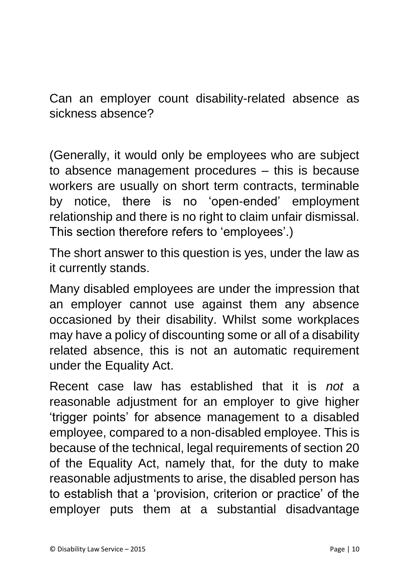Can an employer count disability-related absence as sickness absence?

(Generally, it would only be employees who are subject to absence management procedures – this is because workers are usually on short term contracts, terminable by notice, there is no 'open-ended' employment relationship and there is no right to claim unfair dismissal. This section therefore refers to 'employees'.)

The short answer to this question is yes, under the law as it currently stands.

Many disabled employees are under the impression that an employer cannot use against them any absence occasioned by their disability. Whilst some workplaces may have a policy of discounting some or all of a disability related absence, this is not an automatic requirement under the Equality Act.

Recent case law has established that it is *not* a reasonable adjustment for an employer to give higher 'trigger points' for absence management to a disabled employee, compared to a non-disabled employee. This is because of the technical, legal requirements of section 20 of the Equality Act, namely that, for the duty to make reasonable adjustments to arise, the disabled person has to establish that a 'provision, criterion or practice' of the employer puts them at a substantial disadvantage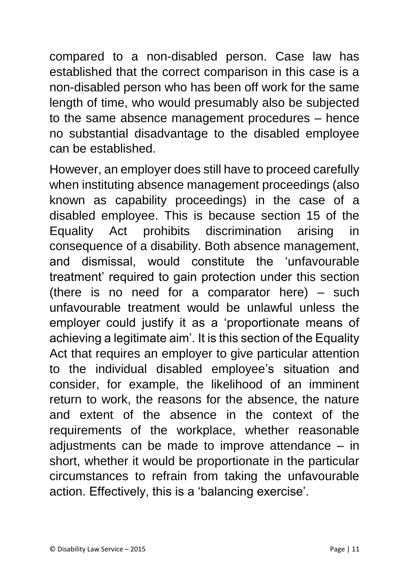compared to a non-disabled person. Case law has established that the correct comparison in this case is a non-disabled person who has been off work for the same length of time, who would presumably also be subjected to the same absence management procedures – hence no substantial disadvantage to the disabled employee can be established.

However, an employer does still have to proceed carefully when instituting absence management proceedings (also known as capability proceedings) in the case of a disabled employee. This is because section 15 of the Equality Act prohibits discrimination arising in consequence of a disability. Both absence management, and dismissal, would constitute the 'unfavourable treatment' required to gain protection under this section (there is no need for a comparator here) – such unfavourable treatment would be unlawful unless the employer could justify it as a 'proportionate means of achieving a legitimate aim'. It is this section of the Equality Act that requires an employer to give particular attention to the individual disabled employee's situation and consider, for example, the likelihood of an imminent return to work, the reasons for the absence, the nature and extent of the absence in the context of the requirements of the workplace, whether reasonable adjustments can be made to improve attendance – in short, whether it would be proportionate in the particular circumstances to refrain from taking the unfavourable action. Effectively, this is a 'balancing exercise'.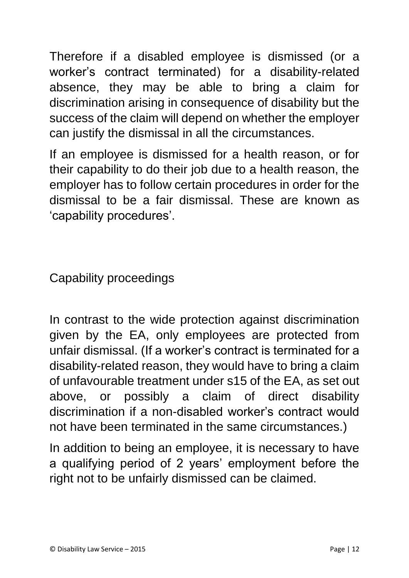Therefore if a disabled employee is dismissed (or a worker's contract terminated) for a disability-related absence, they may be able to bring a claim for discrimination arising in consequence of disability but the success of the claim will depend on whether the employer can justify the dismissal in all the circumstances.

If an employee is dismissed for a health reason, or for their capability to do their job due to a health reason, the employer has to follow certain procedures in order for the dismissal to be a fair dismissal. These are known as 'capability procedures'.

Capability proceedings

In contrast to the wide protection against discrimination given by the EA, only employees are protected from unfair dismissal. (If a worker's contract is terminated for a disability-related reason, they would have to bring a claim of unfavourable treatment under s15 of the EA, as set out above, or possibly a claim of direct disability discrimination if a non-disabled worker's contract would not have been terminated in the same circumstances.)

In addition to being an employee, it is necessary to have a qualifying period of 2 years' employment before the right not to be unfairly dismissed can be claimed.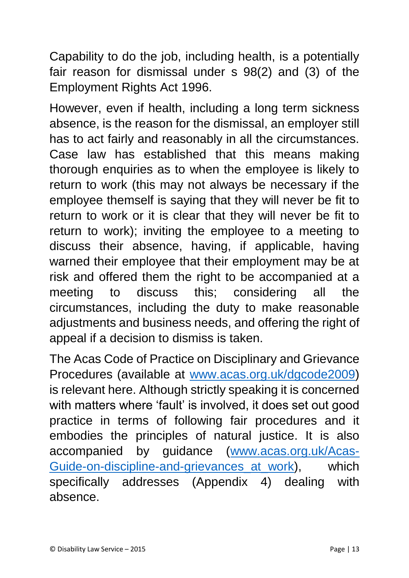Capability to do the job, including health, is a potentially fair reason for dismissal under s 98(2) and (3) of the Employment Rights Act 1996.

However, even if health, including a long term sickness absence, is the reason for the dismissal, an employer still has to act fairly and reasonably in all the circumstances. Case law has established that this means making thorough enquiries as to when the employee is likely to return to work (this may not always be necessary if the employee themself is saying that they will never be fit to return to work or it is clear that they will never be fit to return to work); inviting the employee to a meeting to discuss their absence, having, if applicable, having warned their employee that their employment may be at risk and offered them the right to be accompanied at a meeting to discuss this; considering all the circumstances, including the duty to make reasonable adjustments and business needs, and offering the right of appeal if a decision to dismiss is taken.

The Acas Code of Practice on Disciplinary and Grievance Procedures (available at [www.acas.org.uk/dgcode2009\)](http://www.acas.org.uk/dgcode2009) is relevant here. Although strictly speaking it is concerned with matters where 'fault' is involved, it does set out good practice in terms of following fair procedures and it embodies the principles of natural justice. It is also accompanied by guidance [\(www.acas.org.uk/Acas-](http://www.acas.org.uk/Acas-Guide-on-discipline-and-grievances_at_work)Guide-on-discipline-and-grievances at work), which specifically addresses (Appendix 4) dealing with absence.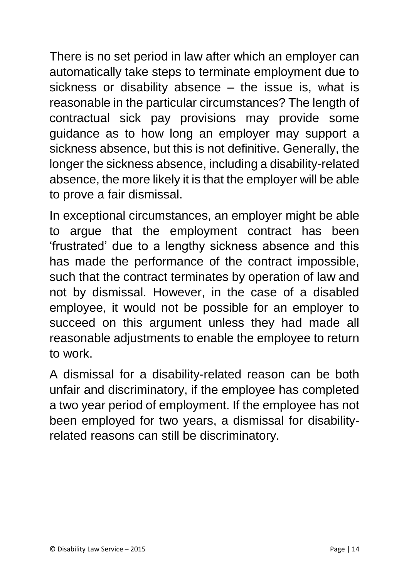There is no set period in law after which an employer can automatically take steps to terminate employment due to sickness or disability absence – the issue is, what is reasonable in the particular circumstances? The length of contractual sick pay provisions may provide some guidance as to how long an employer may support a sickness absence, but this is not definitive. Generally, the longer the sickness absence, including a disability-related absence, the more likely it is that the employer will be able to prove a fair dismissal.

In exceptional circumstances, an employer might be able to argue that the employment contract has been 'frustrated' due to a lengthy sickness absence and this has made the performance of the contract impossible, such that the contract terminates by operation of law and not by dismissal. However, in the case of a disabled employee, it would not be possible for an employer to succeed on this argument unless they had made all reasonable adjustments to enable the employee to return to work.

A dismissal for a disability-related reason can be both unfair and discriminatory, if the employee has completed a two year period of employment. If the employee has not been employed for two years, a dismissal for disabilityrelated reasons can still be discriminatory.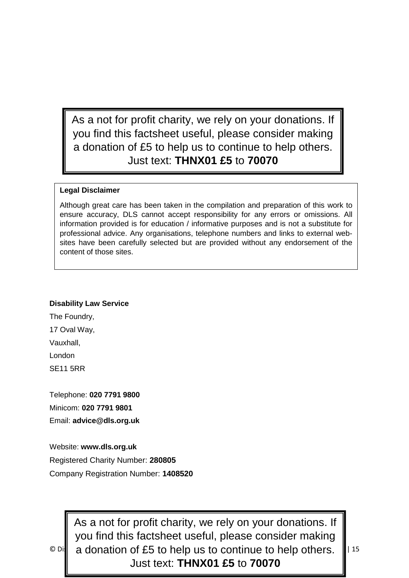As a not for profit charity, we rely on your donations. If you find this factsheet useful, please consider making a donation of £5 to help us to continue to help others. Just text: **THNX01 £5** to **70070**

#### **Legal Disclaimer**

Although great care has been taken in the compilation and preparation of this work to ensure accuracy, DLS cannot accept responsibility for any errors or omissions. All information provided is for education / informative purposes and is not a substitute for professional advice. Any organisations, telephone numbers and links to external websites have been carefully selected but are provided without any endorsement of the content of those sites.

#### **Disability Law Service**

The Foundry, 17 Oval Way, Vauxhall, London SE11 5RR

Telephone: **020 7791 9800** Minicom: **020 7791 9801** Email: **advice@dls.org.uk**

Website: **www.dls.org.uk** Registered Charity Number: **280805** Company Registration Number: **1408520**

 $\circ$  Disq a donation of £5 to help us to continue to help others.  $\|$  15 As a not for profit charity, we rely on your donations. If you find this factsheet useful, please consider making Just text: **THNX01 £5** to **70070**